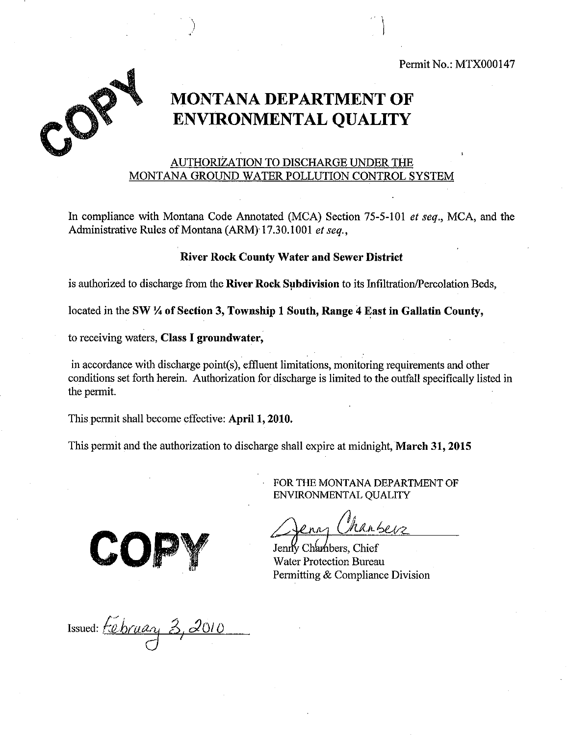Permit No.: MTX000147



# **MONTANA DEPARTMENT OF ENVIRONMENTAL QUALITY**

## AUTHORIZATION TO DISCHARGE UNDER THE MONTANA GROUND WATER POLLUTION CONTROL SYSTEM

In compliance with Montana Code Annotated (MCA) Section 75-5-101 *et seq.,* MCA, and the Administrative Rules of Montana (ARM) 17.30.1001 et seq.,

#### **River Rock County Water and Sewer District**

is authorized to discharge from the **River Rock Subdivision** to its Infiltration/Percolation Beds,

located in the **SW 'A of Section 3, Township 1 South, Range 4 East in Gallatin County,** 

to receiving waters, **Class I groundwater,** 

in accordance with discharge point(s), effluent limitations, monitoring requirements and other conditions set forth herein. Authorization for discharge is limited to the outfall specifically listed in the permit.

This permit shall become effective: **April 1, 2010.** 

This permit and the authorization to discharge shall expire at midnight, **March 31, 2015** 

FOR THE MONTANA DEPARTMENT OF ENVIRONMENTAL QUALITY

nansers

Jenny Chambers, Chief Water Protection Bureau Permitting & Compliance Division

Issued: *februar<sub>t</sub> 3, 2*010  $\bigcup$ 

C(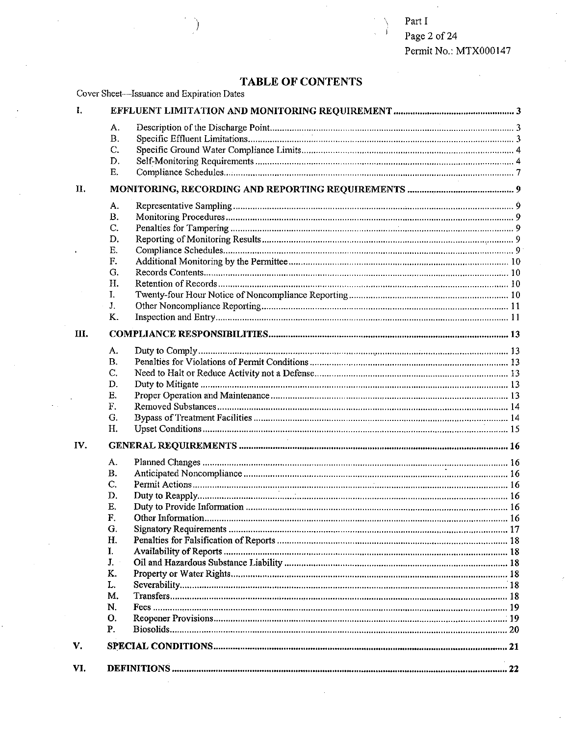Part I Page 2 of 24 Permit No.: MTX000147

## **TABLE OF CONTENTS**

| - I. - |              |  |  |
|--------|--------------|--|--|
|        |              |  |  |
|        | $\mathbf{B}$ |  |  |
|        |              |  |  |
|        |              |  |  |

Cover Sheet—Issuance and Expiration Dates

|     | Β.             |  |
|-----|----------------|--|
|     | C.             |  |
|     | D.             |  |
|     | Е.             |  |
| II. |                |  |
|     | А.             |  |
|     | В.             |  |
|     | C.             |  |
|     | D.             |  |
|     | Е.             |  |
|     | F.             |  |
|     | G.             |  |
|     | Η.             |  |
|     | I.             |  |
|     | J <sub>r</sub> |  |
|     | K.             |  |
| Ш.  |                |  |
|     |                |  |
|     | А.             |  |
|     | <b>B.</b>      |  |
|     | C.             |  |
|     | D.             |  |
|     | Е.             |  |
|     | F.             |  |
|     | G.             |  |
|     | Η.             |  |
| IV. |                |  |
|     | А.             |  |
|     | <b>B.</b>      |  |
|     | C.             |  |
|     | D.             |  |
|     | Е.             |  |
|     | $\mathbf{F}$ . |  |
|     | G.             |  |
|     | Н.             |  |
|     | I.             |  |
|     | J.             |  |
|     | K.             |  |
|     | L.             |  |
|     | М.             |  |
|     | N.             |  |
|     | 0.             |  |
|     | Ρ.             |  |
|     |                |  |

**VI. DEFINITIONS 22** 

**V. SPECIAL CONDITIONS 21**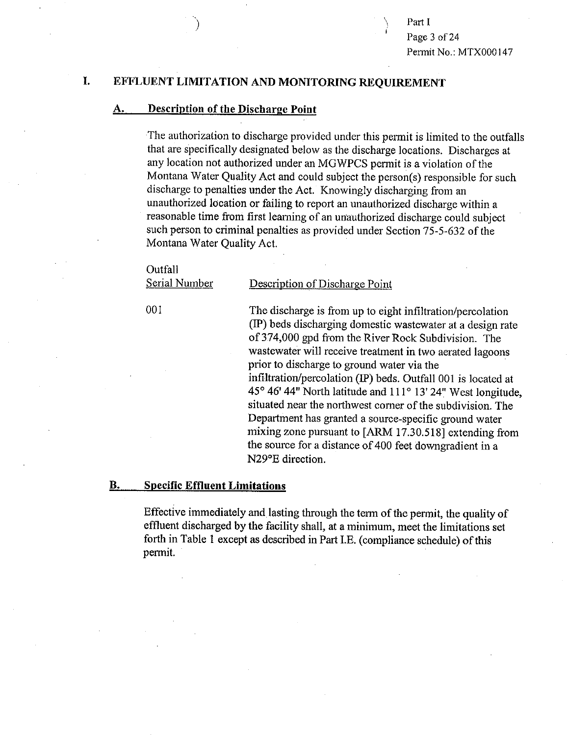Part I Page 3 of 24 Permit No.: MTX000147

### **I. EFFLUENT LIMITATION AND MONITORING REQUIREMENT**

#### **A. Description of the Dischame Point**

The authorization to discharge provided under this permit is limited to the outfalls that are specifically designated below as the discharge locations. Discharges at any location not authorized under an MGWPCS permit is a violation of the Montana Water Quality Act and could subject the person(s) responsible for such discharge to penalties under the Act. Knowingly discharging from an unauthorized location or failing to report an unauthorized discharge within a reasonable time from first learning of an unauthorized discharge could subject such person to criminal penalties as provided under Section 75-5-632 of the Montana Water Quality Act.

#### **Outfall**

Serial Number Description of Discharge Point

001 The discharge is from up to eight infiltration/percolation (IP) beds discharging domestic wastewater at a design rate of 374,000 gpd from the River Rock Subdivision. The wastewater will receive treatment in two aerated lagoons prior to discharge to ground water via the infiltration/percolation (IP) beds. Outfall 001 is located at 45° 46' 44" North latitude and 111° 13' 24" West longitude, situated near the northwest corner of the subdivision. The Department has granted a source-specific ground water mixing zone pursuant to [ARM 17.30.518] extending from the source for a distance of 400 feet downgradient in a N29°E direction.

#### **B. Specific Effluent Limitations**

Effective immediately and lasting through the term of the permit, the quality of effluent discharged by the facility shall, at a minimum, meet the limitations set forth in Table l except as described in Part I.E. (compliance schedule) of this permit.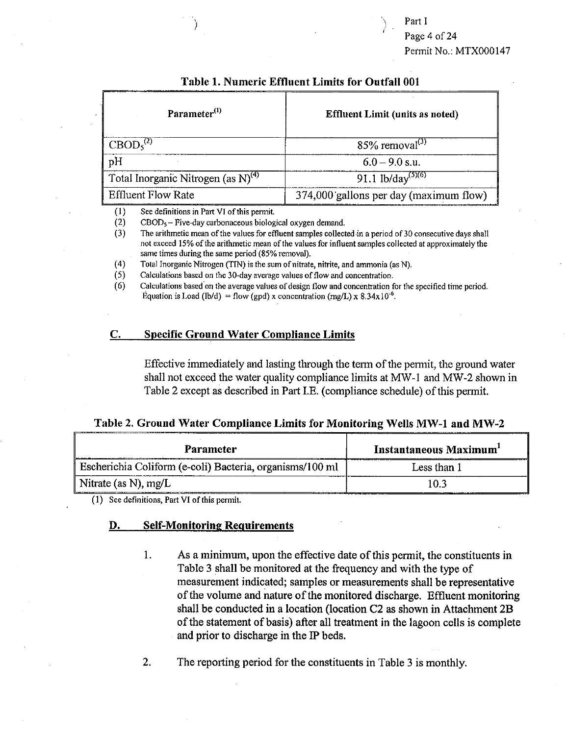Part I Page 4 of 24 Permit No.: MTX000147

| Table 1. Rumeric Emiliem Linnis for Outlan 601 |                                        |  |  |  |
|------------------------------------------------|----------------------------------------|--|--|--|
| Parameter <sup>(1)</sup>                       | <b>Effluent Limit (units as noted)</b> |  |  |  |
| CBOD <sub>5</sub> <sup>(2)</sup>               | $85\%$ removal <sup>(3)</sup>          |  |  |  |
| pH                                             | $6.0 - 9.0$ s.u.                       |  |  |  |
| Total Inorganic Nitrogen (as $N^{(4)}$ )       | 91.1 lb/day <sup>(5)(6)</sup>          |  |  |  |
| <b>Effluent Flow Rate</b>                      | 374,000 gallons per day (maximum flow) |  |  |  |

#### **Table 1. Numeric Effluent Limits for Outfall 001**

(1) See definitions in Part VI of this permit.<br>
(2) CBOD<sub>5</sub> – Five-day carbonaceous biolog

 $\text{CBOD}_5$  – Five-day carbonaceous biological oxygen demand.

(3) The arithmetic mean of the values for effluent samples collected in a period of 30 consecutive days shall not exceed 15% of the arithmetic mean of the values for influent samples collected at approximately the same times during the same period (85% removal).

(4) Total Inorganic Nitrogen (TIN) is the sum of nitrate, nitrite, and ammonia (as N).

(5) Calculations based on the 30-day average values of flow and concentration.

(6) Calculations based on the average values of design flow and concentration for the specified time period. Equation is Load (lb/d) = flow (gpd) x concentration (mg/L) x  $8.34 \times 10^{-6}$ .

#### **C. Specific Ground Water Compliance Limits**

Effective immediately and lasting through the term of the permit, the ground water shall not exceed the water quality compliance limits at MW-1 and MW-2 shown in Table 2 except as described in Part I.E. (compliance schedule) of this permit.

| Table 2. Ground Water Compliance Limits for Monitoring Wells MW-1 and MW-2 |  |  |  |  |  |
|----------------------------------------------------------------------------|--|--|--|--|--|
|----------------------------------------------------------------------------|--|--|--|--|--|

| <b>Parameter</b>                                         | Instantaneous Maximum'                                                                                                  |
|----------------------------------------------------------|-------------------------------------------------------------------------------------------------------------------------|
| Escherichia Coliform (e-coli) Bacteria, organisms/100 ml | Less than 1                                                                                                             |
| Nitrate (as N), mg/L                                     | 10.3<br>continues and chief in the series of the control of the control of the control of the control of the control of |

(1) See definitions, Part VI of this permit.

#### **D. Self-Monitoring Requirements**

1. As a minimum, upon the effective date of this permit, the constituents in Table 3 shall be monitored at the frequency and with the type of measurement indicated; samples or measurements shall be representative of the volume and nature of the monitored discharge. Effluent monitoring shall be conducted in a location (location C2 as shown in Attachment 2B of the statement of basis) after all treatment in the lagoon cells is complete and prior to discharge in the IP beds.

2. The reporting period for the constituents in Table 3 is monthly.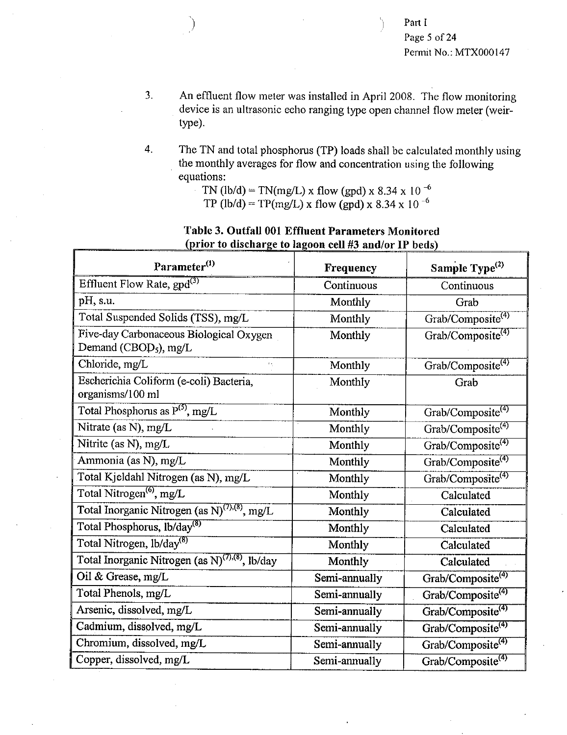- 3. An effluent flow meter was installed in April 2008. The flow monitoring device is an ultrasonic echo ranging type open channel flow meter (weirtype).
- 4. The TN and total phosphorus (TP) loads shall be calculated monthly using the monthly averages for flow and concentration using the following equations:
	- TN (lb/d) = TN(mg/L) x flow (gpd) x 8.34 x 10<sup>-6</sup>

TP (lb/d) = TP(mg/L) x flow (gpd) x 8.34 x 10<sup>-6</sup>

| Parameter <sup>(1)</sup>                                                     | Frequency     | Sample Type <sup>(2)</sup>    |  |
|------------------------------------------------------------------------------|---------------|-------------------------------|--|
| Effluent Flow Rate, $\text{gpd}^{(3)}$                                       | Continuous    | Continuous                    |  |
| pH, s.u.                                                                     | Monthly       | Grab                          |  |
| Total Suspended Solids (TSS), mg/L                                           | Monthly       | Grab/Composite <sup>(4)</sup> |  |
| Five-day Carbonaceous Biological Oxygen<br>Demand (CBOD <sub>5</sub> ), mg/L | Monthly       | Grab/Composite <sup>(4)</sup> |  |
| Chloride, mg/L                                                               | Monthly       | Grab/Composite <sup>(4)</sup> |  |
| Escherichia Coliform (e-coli) Bacteria,<br>organisms/100 ml                  | Monthly       | Grab                          |  |
| Total Phosphorus as $P^{(5)}$ , mg/L                                         | Monthly       | Grab/Composite <sup>(4)</sup> |  |
| Nitrate (as N), mg/L                                                         | Monthly       | Grab/Composite <sup>(4)</sup> |  |
| Nitrite (as N), mg/L                                                         | Monthly       | Grab/Composite <sup>(4)</sup> |  |
| Ammonia (as N), mg/L                                                         | Monthly       | Grab/Composite <sup>(4)</sup> |  |
| Total Kjeldahl Nitrogen (as N), mg/L                                         | Monthly       | Grab/Composite <sup>(4)</sup> |  |
| Total Nitrogen <sup>(6)</sup> , mg/L                                         | Monthly       | Calculated                    |  |
| Total Inorganic Nitrogen (as $N^{(7),(8)}$ , mg/L                            | Monthly       | Calculated                    |  |
| Total Phosphorus, lb/day <sup>(8)</sup>                                      | Monthly       | Calculated                    |  |
| Total Nitrogen, lb/day <sup>(8)</sup>                                        | Monthly       | Calculated                    |  |
| Total Inorganic Nitrogen (as $N^{(7),(8)}$ , lb/day                          | Monthly       | Calculated                    |  |
| Oil & Grease, mg/L                                                           | Semi-annually | Grab/Composite <sup>(4)</sup> |  |
| Total Phenols, mg/L                                                          | Semi-annually | Grab/Composite <sup>(4)</sup> |  |
| Arsenic, dissolved, mg/L                                                     | Semi-annually | Grab/Composite <sup>(4)</sup> |  |
| Cadmium, dissolved, mg/L                                                     | Semi-annually | Grab/Composite <sup>(4)</sup> |  |
| Chromium, dissolved, mg/L                                                    | Semi-annually | Grab/Composite <sup>(4)</sup> |  |
| Copper, dissolved, mg/L                                                      | Semi-annually | Grab/Composite <sup>(4)</sup> |  |

# **Table 3. Outfall 001 Effluent Parameters Monitored rior to discharge to lagoon cell #3 and/or IP beds**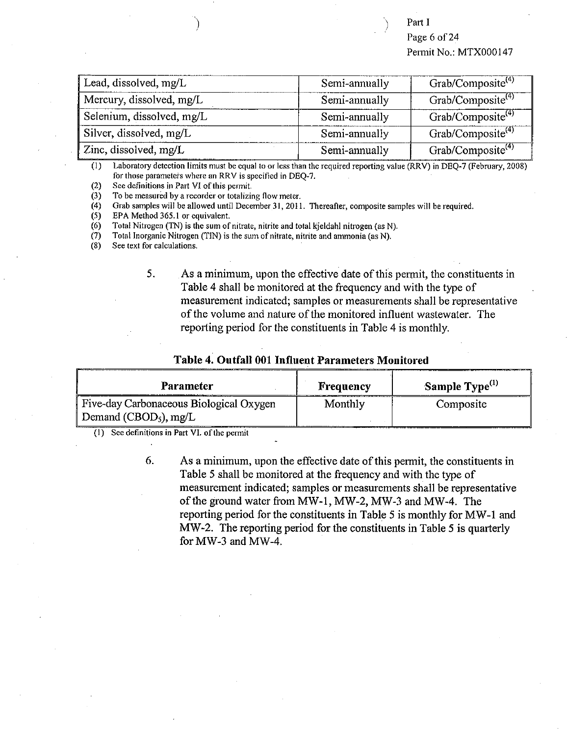Part I

Page 6 of 24 Permit No.: MTX000147

| Lead, dissolved, mg/L     | Semi-annually | Grab/Composite <sup>(4)</sup> |
|---------------------------|---------------|-------------------------------|
| Mercury, dissolved, mg/L  | Semi-annually | Grab/Composite <sup>(4)</sup> |
| Selenium, dissolved, mg/L | Semi-annually | Grab/Composite <sup>(4)</sup> |
| Silver, dissolved, mg/L   | Semi-annually | Grab/Composite <sup>(4)</sup> |
| Zinc, dissolved, mg/L     | Semi-annually | Grab/Composite <sup>(4)</sup> |

(I) Laboratory detection limits must be equal to or less than the required reporting value (RRV) in DEQ-7 (February, 2008) for those parameters where an RRV is specified in DEQ-7.

(2) See definitions in Part VI of this permit.

(3) To be measured by a recorder or totalizing flow meter.<br>(4) Grab samples will be allowed until December 31, 2011

(4) Grab samples will be allowed until December 31, 2011. Thereafter, composite samples will be required.<br>(5) EPA Method 365.1 or equivalent.

(5) EPA Method 365.1 or equivalent.<br>(6) Total Nitrogen (TN) is the sum of

(6) Total Nitrogen (TN) is the sum of nitrate, nitrite and total kjeldahl nitrogen (as N).

(7) Total Inorganic Nitrogen (TIN) is the sum of nitrate, nitrite and ammonia (as N).  $(8)$  See text for calculations.

See text for calculations.

5. As a minimum, upon the effective date of this permit, the constituents in Table 4 shall be monitored at the frequency and with the type of measurement indicated; samples or measurements shall be representative of the volume and nature of the monitored influent wastewater. The reporting period for the constituents in Table 4 is monthly.

#### **Table 4. Outfall 001 Influent Parameters Monitored**

| Parameter                               | Frequency | Sample Type <sup>(1)</sup> |
|-----------------------------------------|-----------|----------------------------|
| Five-day Carbonaceous Biological Oxygen | Monthly   | Composite                  |
| Demand (CBOD <sub>5</sub> ), mg/L       |           |                            |

(1) See definitions in Part VI. of the permit

6. As a minimum, upon the effective date of this permit, the constituents in Table 5 shall be monitored at the frequency and with the type of measurement indicated; samples or measurements shall be representative of the ground water from MW-1, MW-2, MW-3 and MW-4. The reporting period for the constituents in Table 5 is monthly for MW-1 and MW-2. The reporting period for the constituents in Table 5 is quarterly for MW-3 and MW-4.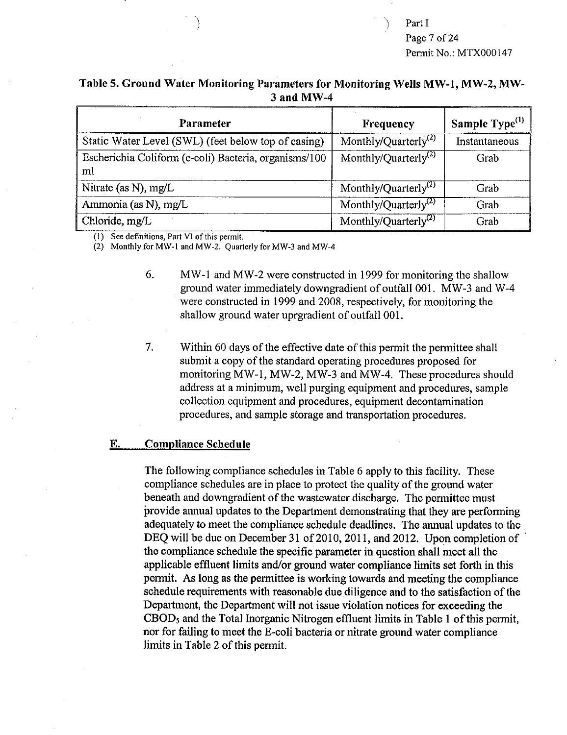Part I Page 7 of 24 Permit No.: MTX000147

### **Table 5. Ground Water Monitoring Parameters for Monitoring Wells MW-I, MW-2, MW-3 and MW-4**

| Parameter                                                   | Frequency                        | Sample Type <sup>(1)</sup> |
|-------------------------------------------------------------|----------------------------------|----------------------------|
| Static Water Level (SWL) (feet below top of casing)         | Monthly/Quarterly <sup>(2)</sup> | Instantaneous              |
| Escherichia Coliform (e-coli) Bacteria, organisms/100<br>ml | Monthly/Quarterly <sup>(2)</sup> | Grab                       |
| Nitrate (as N), mg/L                                        | Monthly/Quarterly <sup>(2)</sup> | Grab                       |
| Ammonia (as N), mg/L                                        | Monthly/Quarterly <sup>(2)</sup> | Grab                       |
| Chloride, mg/L                                              | Monthly/Quarterly <sup>(2)</sup> | Grab                       |

(1) See definitions, Part VI of this permit.

(2) Monthly for MW-1 and MW-2. Quarterly for MW-3 and MW-4

- 6. MW-1 and MW-2 were constructed in 1999 for monitoring the shallow ground water immediately downgradient of outfall 001. MW-3 and W-4 were constructed in 1999 and 2008, respectively, for monitoring the shallow ground water uprgradient of outfall 001.
- 7. Within 60 days of the effective date of this permit the permittee shall submit a copy of the standard operating procedures proposed for monitoring MW-1, MW-2, MW-3 and MW-4. These procedures should address at a minimum, well purging equipment and procedures, sample collection equipment and procedures, equipment decontamination procedures, and sample storage and transportation procedures.

#### **E. Compliance Schedule**

The following compliance schedules in Table 6 apply to this facility. These compliance schedules are in place to protect the quality of the ground water beneath and downgradient of the wastewater discharge. The permittee must provide annual updates to the Department demonstrating that they are performing adequately to meet the compliance schedule deadlines. The annual updates to the DEQ will be due on December 31 of 2010, 2011, and 2012. Upon completion of the compliance schedule the specific parameter in **question shall meet all the applicable effluent limits and/or ground water compliance limits set forth in this permit. As long as the permittee is working towards and meeting the compliance schedule requirements with reasonable due diligence and to the satisfaction of the Department, the Department will not issue violation notices for exceeding the CBOD5 and the Total Inorganic Nitrogen effluent limits in Table 1 of this permit, nor for failing to meet the E-coli bacteria or nitrate ground water compliance limits in Table 2 of this permit.**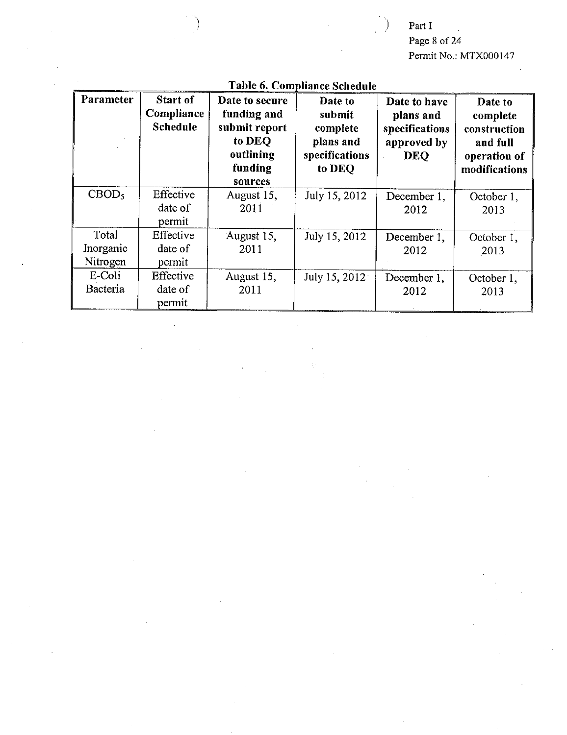# Part I

# Page 8 of 24 Permit No.: MTX000147

| Parameter                      | <b>Start of</b><br>Compliance<br><b>Schedule</b> | Date to secure<br>funding and<br>submit report<br>to DEO<br>outlining<br>funding<br>sources | Date to<br>submit<br>complete<br>plans and<br>specifications<br>to DEQ | Date to have<br>plans and<br>specifications<br>approved by<br><b>DEQ</b> | Date to<br>complete<br>construction<br>and full<br>operation of<br>modifications |
|--------------------------------|--------------------------------------------------|---------------------------------------------------------------------------------------------|------------------------------------------------------------------------|--------------------------------------------------------------------------|----------------------------------------------------------------------------------|
| CBOD <sub>5</sub>              | Effective<br>date of<br>permit                   | August 15,<br>2011                                                                          | July 15, 2012                                                          | December 1,<br>2012                                                      | October 1,<br>2013                                                               |
| Total<br>Inorganic<br>Nitrogen | Effective<br>date of<br>permit                   | August 15,<br>2011                                                                          | July 15, 2012                                                          | December 1,<br>2012                                                      | October 1,<br>2013                                                               |
| E-Coli<br>Bacteria             | Effective<br>date of<br>permit                   | August 15.<br>2011                                                                          | July 15, 2012 <sup>-</sup>                                             | December 1,<br>2012                                                      | October 1,<br>2013                                                               |